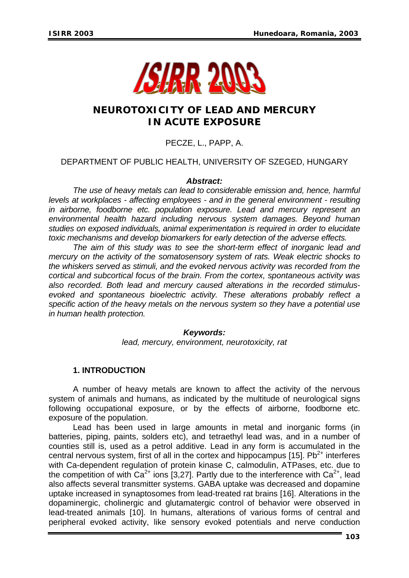

# **NEUROTOXICITY OF LEAD AND MERCURY IN ACUTE EXPOSURE**

## PECZE, L., PAPP, A.

## DEPARTMENT OF PUBLIC HEALTH, UNIVERSITY OF SZEGED, HUNGARY

## *Abstract:*

*The use of heavy metals can lead to considerable emission and, hence, harmful levels at workplaces - affecting employees - and in the general environment - resulting in airborne, foodborne etc. population exposure. Lead and mercury represent an environmental health hazard including nervous system damages. Beyond human studies on exposed individuals, animal experimentation is required in order to elucidate toxic mechanisms and develop biomarkers for early detection of the adverse effects.* 

*The aim of this study was to see the short-term effect of inorganic lead and mercury on the activity of the somatosensory system of rats. Weak electric shocks to the whiskers served as stimuli, and the evoked nervous activity was recorded from the cortical and subcortical focus of the brain. From the cortex, spontaneous activity was also recorded. Both lead and mercury caused alterations in the recorded stimulusevoked and spontaneous bioelectric activity. These alterations probably reflect a specific action of the heavy metals on the nervous system so they have a potential use in human health protection.* 

### *Keywords:*

*lead, mercury, environment, neurotoxicity, rat* 

## **1. INTRODUCTION**

 A number of heavy metals are known to affect the activity of the nervous system of animals and humans, as indicated by the multitude of neurological signs following occupational exposure, or by the effects of airborne, foodborne etc. exposure of the population.

Lead has been used in large amounts in metal and inorganic forms (in batteries, piping, paints, solders etc), and tetraethyl lead was, and in a number of counties still is, used as a petrol additive. Lead in any form is accumulated in the central nervous system, first of all in the cortex and hippocampus [15].  $Pb^{2+}$  interferes with Ca-dependent regulation of protein kinase C, calmodulin, ATPases, etc. due to the competition of with  $Ca^{2+}$  ions [3,27]. Partly due to the interference with  $Ca^{2+}$ , lead also affects several transmitter systems. GABA uptake was decreased and dopamine uptake increased in synaptosomes from lead-treated rat brains [16]. Alterations in the dopaminergic, cholinergic and glutamatergic control of behavior were observed in lead-treated animals [10]. In humans, alterations of various forms of central and peripheral evoked activity, like sensory evoked potentials and nerve conduction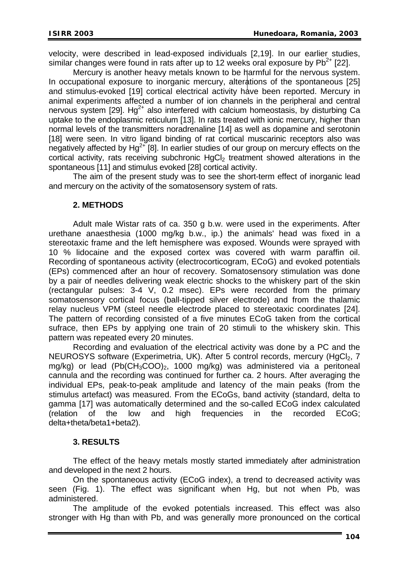velocity, were described in lead-exposed individuals [2,19]. In our earlier studies, similar changes were found in rats after up to 12 weeks oral exposure by  $Pb^{2+}$  [22].

Mercury is another heavy metals known to be harmful for the nervous system. In occupational exposure to inorganic mercury, alterations of the spontaneous [25] and stimulus-evoked [19] cortical electrical activity have been reported. Mercury in animal experiments affected a number of ion channels in the peripheral and central nervous system [29].  $Hg^{2+}$  also interfered with calcium homeostasis, by disturbing Ca uptake to the endoplasmic reticulum [13]. In rats treated with ionic mercury, higher than normal levels of the transmitters noradrenaline [14] as well as dopamine and serotonin [18] were seen. In vitro ligand binding of rat cortical muscarinic receptors also was negatively affected by  $Ha^{2+}$  [8]. In earlier studies of our group on mercury effects on the cortical activity, rats receiving subchronic HgCl<sub>2</sub> treatment showed alterations in the spontaneous [11] and stimulus evoked [28] cortical activity.

The aim of the present study was to see the short-term effect of inorganic lead and mercury on the activity of the somatosensory system of rats.

#### **2. METHODS**

 Adult male Wistar rats of ca. 350 g b.w. were used in the experiments. After urethane anaesthesia (1000 mg/kg b.w., ip.) the animals' head was fixed in a stereotaxic frame and the left hemisphere was exposed. Wounds were sprayed with 10 % lidocaine and the exposed cortex was covered with warm paraffin oil. Recording of spontaneous activity (electrocorticogram, ECoG) and evoked potentials (EPs) commenced after an hour of recovery. Somatosensory stimulation was done by a pair of needles delivering weak electric shocks to the whiskery part of the skin (rectangular pulses: 3-4 V, 0.2 msec). EPs were recorded from the primary somatosensory cortical focus (ball-tipped silver electrode) and from the thalamic relay nucleus VPM (steel needle electrode placed to stereotaxic coordinates [24]. The pattern of recording consisted of a five minutes ECoG taken from the cortical sufrace, then EPs by applying one train of 20 stimuli to the whiskery skin. This pattern was repeated every 20 minutes.

Recording and evaluation of the electrical activity was done by a PC and the NEUROSYS software (Experimetria, UK). After 5 control records, mercury (HgCl<sub>2</sub>, 7 mg/kg) or lead  $(Pb(CH_3COO)_2$ , 1000 mg/kg) was administered via a peritoneal cannula and the recording was continued for further ca. 2 hours. After averaging the individual EPs, peak-to-peak amplitude and latency of the main peaks (from the stimulus artefact) was measured. From the ECoGs, band activity (standard, delta to gamma [17] was automatically determined and the so-called ECoG index calculated (relation of the low and high frequencies in the recorded ECoG; delta+theta/beta1+beta2).

### **3. RESULTS**

The effect of the heavy metals mostly started immediately after administration and developed in the next 2 hours.

On the spontaneous activity (ECoG index), a trend to decreased activity was seen (Fig. 1). The effect was significant when Hg, but not when Pb, was administered.

The amplitude of the evoked potentials increased. This effect was also stronger with Hg than with Pb, and was generally more pronounced on the cortical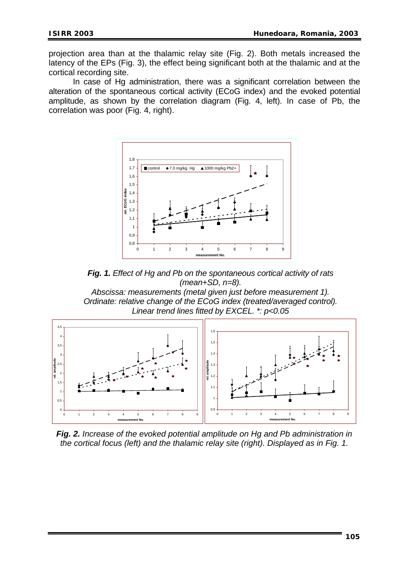projection area than at the thalamic relay site (Fig. 2). Both metals increased the latency of the EPs (Fig. 3), the effect being significant both at the thalamic and at the cortical recording site.

In case of Hg administration, there was a significant correlation between the alteration of the spontaneous cortical activity (ECoG index) and the evoked potential amplitude, as shown by the correlation diagram (Fig. 4, left). In case of Pb, the correlation was poor (Fig. 4, right).



*Fig. 1. Effect of Hg and Pb on the spontaneous cortical activity of rats (mean+SD, n=8).* 

*Abscissa: measurements (metal given just before measurement 1). Ordinate: relative change of the ECoG index (treated/averaged control). Linear trend lines fitted by EXCEL. \*: p<0.05* 



*Fig. 2. Increase of the evoked potential amplitude on Hg and Pb administration in the cortical focus (left) and the thalamic relay site (right). Displayed as in Fig. 1.*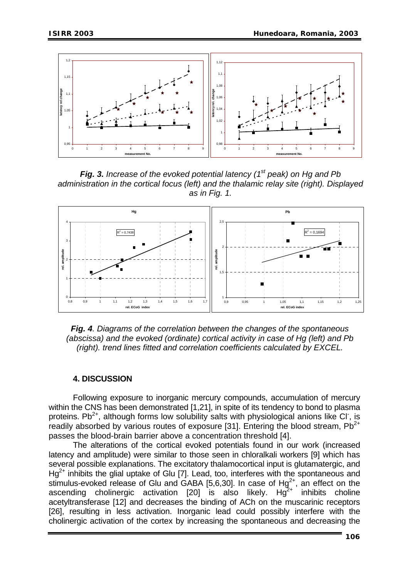

*Fig. 3. Increase of the evoked potential latency (1st peak) on Hg and Pb inistration in the cortical focus (left) and the thalamic relay site (right). Displayed adm as in Fig. 1.* 



*Fig. 4. Diagrams of the correlation between the changes of the spontaneous (abscissa) and the evoked (ordinate) cortical activity in case of Hg (left) and Pb (right). trend lines fitted and correlation coefficients calculated by EXCEL.* 

### **4. DISCUSSION**

Following exposure to inorganic mercury compounds, accumulation of mercury within the CNS has been demonstrated [1,21], in spite of its tendency to bond to plasma proteins. Pb<sup>2+</sup>, although forms low solubility salts with physiological anions like CI, is readily absorbed by various routes of exposure [31]. Entering the blood stream,  $Pb^{2+}$ passes the blood-brain barrier above a concentration threshold [4].

The alterations of the cortical evoked potentials found in our work (increased latency and amplitude) were similar to those seen in chloralkali workers [9] which has several possible explanations. The excitatory thalamocortical input is glutamatergic, and  $Hq^{2+}$  inhibits the glial uptake of Glu [7]. Lead, too, interferes with the spontaneous and stimulus-evoked release of Glu and GABA  $[5,6,30]$ . In case of  $Hg^{2+}$ , an effect on the ascending cholinergic activation  $[20]$  is also likely. Hg<sup>2+</sup> inhibits choline acetyltransferase [12] and decreases the binding of ACh on the muscarinic receptors [26], resulting in less activation. Inorganic lead could possibly interfere with the cholinergic activation of the cortex by increasing the spontaneous and decreasing the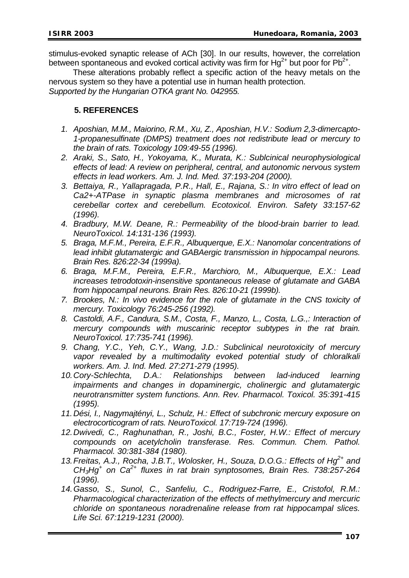stimulus-evoked synaptic release of ACh [30]. In our results, however, the correlation between spontaneous and evoked cortical activity was firm for  $Hq^{2+}$  but poor for Pb<sup>2+</sup>.

These alterations probably reflect a specific action of the heavy metals on the nervous system so they have a potential use in human health protection.

*Supported by the Hungarian OTKA grant No. 042955.* 

## **5. REFERENCES**

- *1. Aposhian, M.M., Maiorino, R.M., Xu, Z., Aposhian, H.V.: Sodium 2,3-dimercapto-1-propanesulfinate (DMPS) treatment does not redistribute lead or mercury to the brain of rats. Toxicology 109:49-55 (1996).*
- *2. Araki, S., Sato, H., Yokoyama, K., Murata, K.: Sublcinical neurophysiological effects of lead: A review on peripheral, central, and autonomic nervous system effects in lead workers. Am. J. Ind. Med. 37:193-204 (2000).*
- *3. Bettaiya, R., Yallapragada, P.R., Hall, E., Rajana, S.: In vitro effect of lead on Ca2+-ATPase in synaptic plasma membranes and microsomes of rat cerebellar cortex and cerebellum. Ecotoxicol. Environ. Safety 33:157-62 (1996).*
- *4. Bradbury, M.W. Deane, R.: Permeability of the blood-brain barrier to lead. NeuroToxicol. 14:131-136 (1993).*
- *5. Braga, M.F.M., Pereira, E.F.R., Albuquerque, E.X.: Nanomolar concentrations of lead inhibit glutamatergic and GABAergic transmission in hippocampal neurons. Brain Res. 826:22-34 (1999a).*
- *6. Braga, M.F.M., Pereira, E.F.R., Marchioro, M., Albuquerque, E.X.: Lead increases tetrodotoxin-insensitive spontaneous release of glutamate and GABA from hippocampal neurons. Brain Res. 826:10-21 (1999b).*
- *7. Brookes, N.: In vivo evidence for the role of glutamate in the CNS toxicity of mercury. Toxicology 76:245-256 (1992).*
- *8. Castoldi, A.F., Candura, S.M., Costa, F., Manzo, L., Costa, L.G.,: Interaction of mercury compounds with muscarinic receptor subtypes in the rat brain. NeuroToxicol. 17:735-741 (1996).*
- *9. Chang, Y.C., Yeh, C.Y., Wang, J.D.: Subclinical neurotoxicity of mercury vapor revealed by a multimodality evoked potential study of chloralkali workers. Am. J. Ind. Med. 27:271-279 (1995).*
- *10. Cory-Schlechta, D.A.: Relationships between lad-induced learning impairments and changes in dopaminergic, cholinergic and glutamatergic neurotransmitter system functions. Ann. Rev. Pharmacol. Toxicol. 35:391-415 (1995).*
- *11. Dési, I., Nagymajtényi, L., Schulz, H.: Effect of subchronic mercury exposure on electrocorticogram of rats. NeuroToxicol. 17:719-724 (1996).*
- *12. Dwivedi, C., Raghunathan, R., Joshi, B.C., Foster, H.W.: Effect of mercury compounds on acetylcholin transferase. Res. Commun. Chem. Pathol. Pharmacol. 30:381-384 (1980).*
- 13. Freitas, A.J., Rocha, J.B.T., Wolosker, H., Souza, D.O.G.: Effects of Hg<sup>2+</sup> and *CH3Hg+ on Ca2+ fluxes in rat brain synptosomes, Brain Res. 738:257-264 (1996).*
- *14. Gasso, S., Sunol, C., Sanfeliu, C., Rodriguez-Farre, E., Cristofol, R.M.: Pharmacological characterization of the effects of methylmercury and mercuric chloride on spontaneous noradrenaline release from rat hippocampal slices. Life Sci. 67:1219-1231 (2000).*